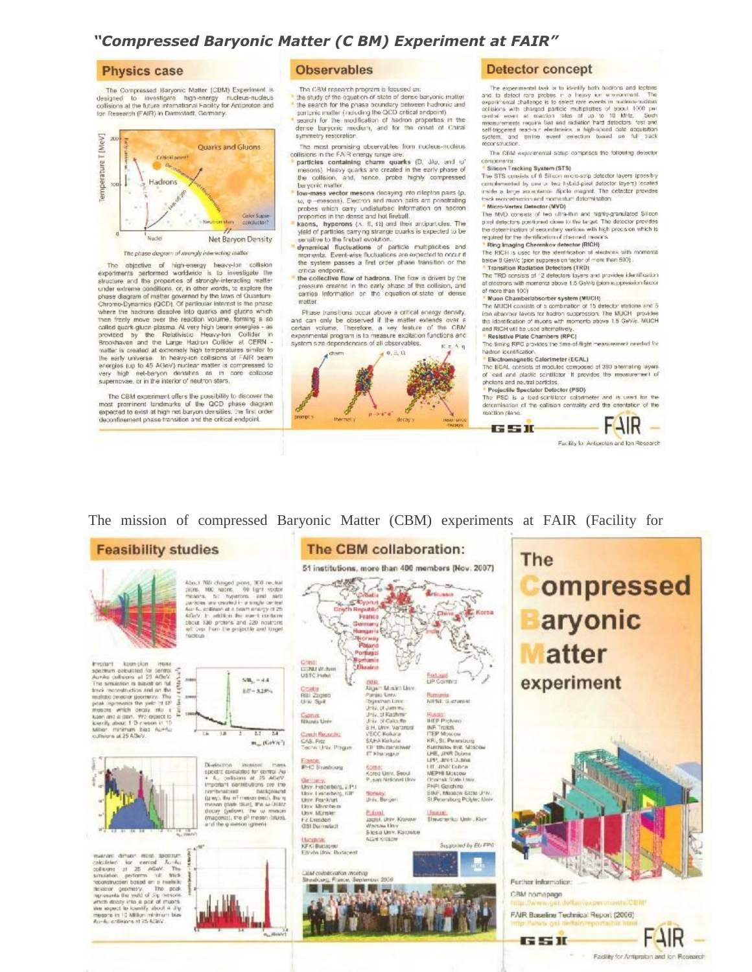## "Compressed Baryonic Matter (C BM) Experiment at FAIR"

## **Physics case**

The Compressed Baryonic Matter (CBM) Experiment is designed to investigate high-energy nucleus-nucleus<br>collisions at the future international Facility for Antiproton and<br>for Research (FAR) in Darmstadt, Germany.



The objective of high-energy heavy-lon collision experiments performed worthwide is to investigate the properties of strongly-interacting matter under extreme conditions, or, in other words, to explore the phase diagram of matter governed by the laws of Quantum<br>Chromo-Dynamics (QCD). Of perticular internst is the phase<br>where the hadrons diasolve into quarks and glucns which where the nearest assesses must question when firming a so-<br>called quark gluan plasma. At very high beam energies - as<br>provided by the - Readilities - Hessey lon. Collider - h<br>Shopping a specifically the Large Hadrian Coll the early universe. In heavy-ron collisions at FAR beam<br>energies (up to 45 AGeV) nuclear matter is compressed to<br>very high met-beryon densities as in compressed to supernovae, or in the interior of neutron stars.

The CBM experiment offers the possibility to discover the most prominent landmarks of the QCD phase diagram<br>expected to exist at high net baryon densities, the first order deconfinement phase transition and the critical endpoint.

## **Observables**

The CBM research program is focused on:<br>the study of the equation of state of dense baryonic matter

- 
- The search for the phase boundary between hadronic and partonic matter (including the QCD critical andpoint) search for the modification of hadron properties in the dense baryonic medium, and for the onset of Chiral symmetry restoration
- The most promising observables from nucleus-nucleus
- collisions in the FAIR energy range are:<br>Particles containing charm quarks (D, JAu, and U' mesons). Hasvy quarks are created in the early phase of<br>the collision, and, hance, probe highly compressed<br>beryonic matter.
- beyond mass vector mesons decaying into dilepton pairs (p.  $w$ ,  $\varphi$  -mesons). Electron and muon pairs are pointfailing probably which carry undisturbed information on hadron properties in the dense and hat firefull.<br>**Ex**
- yield of particles carrying strange cuarks is expected to be<br>sensitive to the fireball evolution.
- services in the distribution of particle multiplicities and<br>moments. Event-wise fluctuations are expected to occur if<br>the system passes a first order phase transition or the critical endpoint.
- the collective flow of hadrons. The flow is driven by the pressure created in the early phase of the collision, and carries information on the equation-of-state of dense matter

Phase transitions occur above a critical energy density, and can only be observed if the matter extends over a<br>certain volume. Therefore, a key feature of the CBM experimental program is to measure excitation functions and system size dependencies of all observables.  $R = A. q$ 



### **Detector concept**

The experimental task is to identify both hadrons and leptons The experimental state is the security and neutron and points.<br>The and the distribution of the second control of the experimental challenge is to select one experimental collaboration<br>of the experimental challenge is to se reportsmuction.

The CEM exportmental scarp comprises the following detector components:<br>• Silicon Tracking System (STS)

The STS consists of 6 Silicon micro-strip detector layers (possibly concidented by one or two hybrid-pixel detector layers) located inside a tenge acceptance dipole magnet. The detector provides teck recoretnicion and momentum determination.

<sup>\*</sup> Micro-Vertex Detector (MVD)<br>The MVD consists of two ultra-thin and highly-granulated Silicon pixel detectors positioned close to the target. The detector provides the determination of secondary vertices with high procision which is regulated for the identification of channel meants.

## \* Ring limaging Cherenkov detector (RICH)<br>The RICH is used for the identification of electrons with momental

below 8 GeV/c (pion suppression factor of more than 500).

.<br>• Transition Radiation Defectors (TRD)<br>The TRD consists of 12 detectors layers and provides identification of electrons with momenta above 1.5 GeV/c (pion suppression factor

# of more than 100)<br><mark>\* Muon Chamberlabsorber system (MUCH)</mark>

The MUCH consists of a combination of 15 detector stations and 5 (an absorber layers for hadron suppression. The MUCH - provides the identification of muons with momenta above 1.5 GeWe, MUCH and RICH will be used alternatively

### Resistive Plate Chambers (RPC)

The timing RPC provides the time-of-flight measurement needed for hadron identification

Electromagnetic Calorimeter (ECAL) The ECAL consists of modules composed of 380 attempting ayers<br>of lead and plastic constitute it provides the measurement of<br>photons and no-station<br>flows of leading the measurement of photons and no-station of the<br>station o

### Projectile Spectator Detector (PSD)

GSIL

The PSD is a tead-scintilator catarimeter and is used for the<br>determination of the collision centrality and the orientation of the maction plane:



The mission of compressed Baryonic Matter (CBM) experiments at FAIR (Facility for